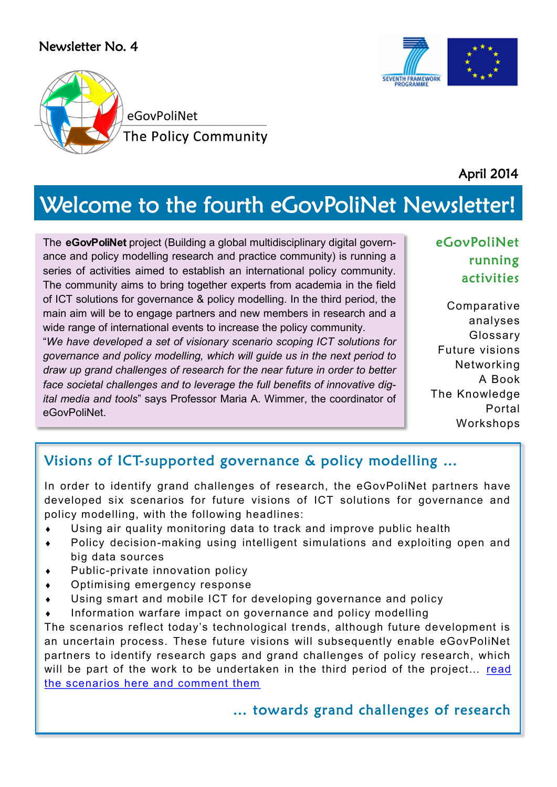#### Newsletter No. 4



April 2014

**SEVENTH FRAMEWOR** 

# Welcome to the fourth eGovPoliNet Newsletter!

The **eGovPoliNet** project (Building a global multidisciplinary digital governance and policy modelling research and practice community) is running a series of activities aimed to establish an international policy community. The community aims to bring together experts from academia in the field of ICT solutions for governance & policy modelling. In the third period, the main aim will be to engage partners and new members in research and a wide range of international events to increase the policy community.

"*We have developed a set of visionary scenario scoping ICT solutions for governance and policy modelling, which will guide us in the next period to draw up grand challenges of research for the near future in order to better face societal challenges and to leverage the full benefits of innovative digital media and tools*" says Professor Maria A. Wimmer, the coordinator of eGovPoliNet.

#### eGovPoliNet running activities

Comparative analyses Glossary Future visions Networking A Book The Knowledge Portal Workshops

#### Visions of ICT-supported governance & policy modelling …

In order to identify grand challenges of research, the eGovPoliNet partners have developed six scenarios for future visions of ICT solutions for governance and policy modelling, with the following headlines:

- Using air quality monitoring data to track and improve public health
- Policy decision-making using intelligent simulations and exploiting open and big data sources
- Public-private innovation policy
- Optimising emergency response
- Using smart and mobile ICT for developing governance and policy
- Information warfare impact on governance and policy modelling

The scenarios reflect today's technological trends, although future development is an uncertain process. These future visions will subsequently enable eGovPoliNet partners to identify research gaps and grand challenges of policy research, which will be part of the work to be undertaken in the third period of the project... read [the scenarios here and comment them](http://195.251.218.39/crossover_platform/Wiki.aspx)

#### … towards grand challenges of research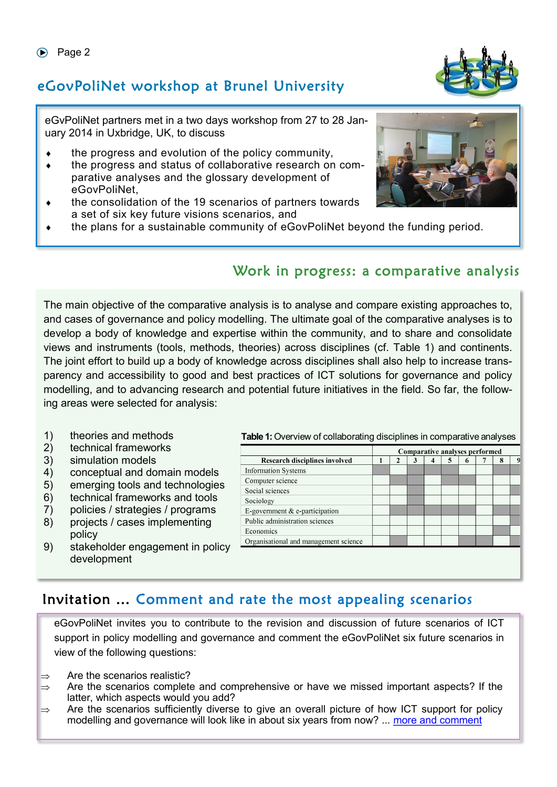# eGovPoliNet workshop at Brunel University

eGvPoliNet partners met in a two days workshop from 27 to 28 January 2014 in Uxbridge, UK, to discuss

- the progress and evolution of the policy community,
- the progress and status of collaborative research on comparative analyses and the glossary development of eGovPoliNet,
- the consolidation of the 19 scenarios of partners towards a set of six key future visions scenarios, and
- the plans for a sustainable community of eGovPoliNet beyond the funding period.

### Work in progress: a comparative analysis

The main objective of the comparative analysis is to analyse and compare existing approaches to, and cases of governance and policy modelling. The ultimate goal of the comparative analyses is to develop a body of knowledge and expertise within the community, and to share and consolidate views and instruments (tools, methods, theories) across disciplines (cf. Table 1) and continents. The joint effort to build up a body of knowledge across disciplines shall also help to increase transparency and accessibility to good and best practices of ICT solutions for governance and policy modelling, and to advancing research and potential future initiatives in the field. So far, the following areas were selected for analysis:

- 1) theories and methods
- 2) technical frameworks
- 3) simulation models
- 4) conceptual and domain models
- 5) emerging tools and technologies
- 6) technical frameworks and tools
- 7) policies / strategies / programs
- 8) projects / cases implementing policy
- 9) stakeholder engagement in policy development

**Table 1:** Overview of collaborating disciplines in comparative analyses

|                                       | Comparative analyses performed |   |   |   |   |             |   |   |
|---------------------------------------|--------------------------------|---|---|---|---|-------------|---|---|
| <b>Research disciplines involved</b>  |                                | 2 | 3 | 4 | G | $\mathbf o$ | 8 | 9 |
| <b>Information Systems</b>            |                                |   |   |   |   |             |   |   |
| Computer science                      |                                |   |   |   |   |             |   |   |
| Social sciences                       |                                |   |   |   |   |             |   |   |
| Sociology                             |                                |   |   |   |   |             |   |   |
| E-government $&$ e-participation      |                                |   |   |   |   |             |   |   |
| Public administration sciences        |                                |   |   |   |   |             |   |   |
| Economics                             |                                |   |   |   |   |             |   |   |
| Organisational and management science |                                |   |   |   |   |             |   |   |
|                                       |                                |   |   |   |   |             |   |   |
|                                       |                                |   |   |   |   |             |   |   |
|                                       |                                |   |   |   |   |             |   |   |

# Invitation … Comment and rate the most appealing scenarios

eGovPoliNet invites you to contribute to the revision and discussion of future scenarios of ICT support in policy modelling and governance and comment the eGovPoliNet six future scenarios in view of the following questions:

- $\Rightarrow$  Are the scenarios realistic?
- $\Rightarrow$  Are the scenarios complete and comprehensive or have we missed important aspects? If the latter, which aspects would you add?
- $\Rightarrow$  Are the scenarios sufficiently diverse to give an overall picture of how ICT support for policy modelling and governance will look like in about six years from now? ... [more and comment](http://195.251.218.39/crossover_platform/Wiki.aspx)



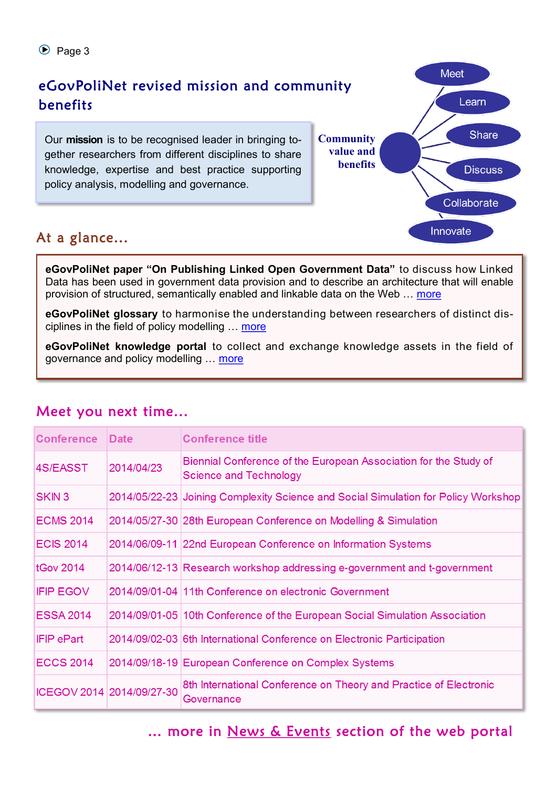

### At a glance...

**eGovPoliNet paper "On Publishing Linked Open Government Data"** to discuss how Linked Data has been used in government data provision and to describe an architecture that will enable provision of structured, semantically enabled and linkable data on the Web … [more](http://www.policy-community.eu/results/papers/on-publishing-linked-open-government-data)

**eGovPoliNet glossary** to harmonise the understanding between researchers of distinct disciplines in the field of policy modelling ... [more](http://195.251.218.39/crossover_platform/Glossary.aspx)

**eGovPoliNet knowledge portal** to collect and exchange knowledge assets in the field of governance and policy modelling … [more](http://195.251.218.39/crossover_platform/)

| <b>Conference</b>         | <b>Date</b> | <b>Conference title</b>                                                                           |
|---------------------------|-------------|---------------------------------------------------------------------------------------------------|
| 4S/EASST                  | 2014/04/23  | Biennial Conference of the European Association for the Study of<br><b>Science and Technology</b> |
| <b>SKIN3</b>              |             | 2014/05/22-23 Joining Complexity Science and Social Simulation for Policy Workshop                |
| <b>ECMS 2014</b>          |             | 2014/05/27-30 28th European Conference on Modelling & Simulation                                  |
| <b>ECIS 2014</b>          |             | 2014/06/09-11 22nd European Conference on Information Systems                                     |
| <b>tGov 2014</b>          |             | 2014/06/12-13 Research workshop addressing e-government and t-government                          |
| <b>IFIP EGOV</b>          |             | 2014/09/01-04 11th Conference on electronic Government                                            |
| <b>ESSA 2014</b>          |             | 2014/09/01-05 10th Conference of the European Social Simulation Association                       |
| <b>IFIP ePart</b>         |             | 2014/09/02-03 6th International Conference on Electronic Participation                            |
| <b>ECCS 2014</b>          |             | 2014/09/18-19 European Conference on Complex Systems                                              |
| ICEGOV 2014 2014/09/27-30 |             | 8th International Conference on Theory and Practice of Electronic<br>Governance                   |

#### Meet you next time...

... more in [News & Events](http://www.policy-community.eu/news-events/events/events-repository/transforming-government-t-gov-workshop-2014) section of the web portal